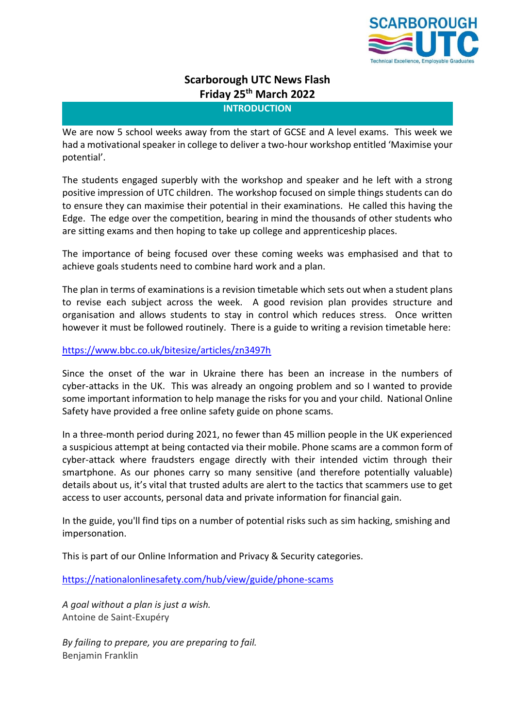

# **Scarborough UTC News Flash Friday 25th March 2022**

**INTRODUCTION**

We are now 5 school weeks away from the start of GCSE and A level exams. This week we had a motivational speaker in college to deliver a two-hour workshop entitled 'Maximise your potential'.

The students engaged superbly with the workshop and speaker and he left with a strong positive impression of UTC children. The workshop focused on simple things students can do to ensure they can maximise their potential in their examinations. He called this having the Edge. The edge over the competition, bearing in mind the thousands of other students who are sitting exams and then hoping to take up college and apprenticeship places.

The importance of being focused over these coming weeks was emphasised and that to achieve goals students need to combine hard work and a plan.

The plan in terms of examinations is a revision timetable which sets out when a student plans to revise each subject across the week. A good revision plan provides structure and organisation and allows students to stay in control which reduces stress. Once written however it must be followed routinely. There is a guide to writing a revision timetable here:

## <https://www.bbc.co.uk/bitesize/articles/zn3497h>

Since the onset of the war in Ukraine there has been an increase in the numbers of cyber-attacks in the UK. This was already an ongoing problem and so I wanted to provide some important information to help manage the risks for you and your child. National Online Safety have provided a free online safety guide on phone scams.

In a three-month period during 2021, no fewer than 45 million people in the UK experienced a suspicious attempt at being contacted via their mobile. Phone scams are a common form of cyber-attack where fraudsters engage directly with their intended victim through their smartphone. As our phones carry so many sensitive (and therefore potentially valuable) details about us, it's vital that trusted adults are alert to the tactics that scammers use to get access to user accounts, personal data and private information for financial gain.

In the guide, you'll find tips on a number of potential risks such as sim hacking, smishing and impersonation.

This is part of our Online Information and Privacy & Security categories.

<https://nationalonlinesafety.com/hub/view/guide/phone-scams>

*A goal without a plan is just a wish.* Antoine de Saint-Exupéry

*By failing to prepare, you are preparing to fail.* Benjamin Franklin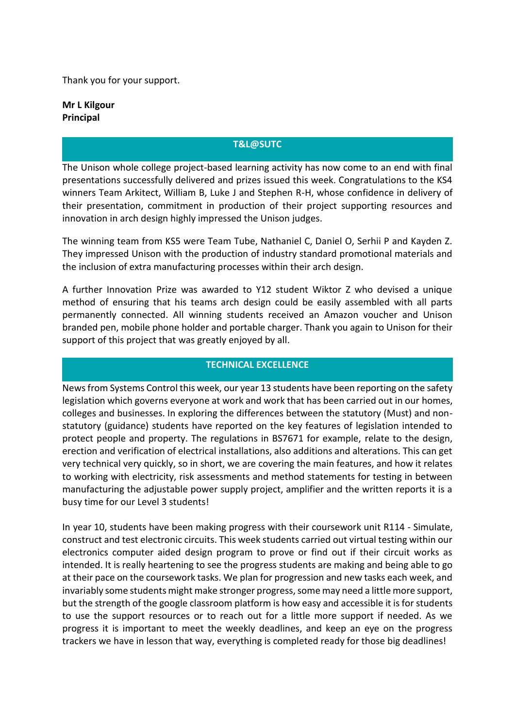Thank you for your support.

**Mr L Kilgour Principal**

# **T&L@SUTC**

The Unison whole college project-based learning activity has now come to an end with final presentations successfully delivered and prizes issued this week. Congratulations to the KS4 winners Team Arkitect, William B, Luke J and Stephen R-H, whose confidence in delivery of their presentation, commitment in production of their project supporting resources and innovation in arch design highly impressed the Unison judges.

The winning team from KS5 were Team Tube, Nathaniel C, Daniel O, Serhii P and Kayden Z. They impressed Unison with the production of industry standard promotional materials and the inclusion of extra manufacturing processes within their arch design.

A further Innovation Prize was awarded to Y12 student Wiktor Z who devised a unique method of ensuring that his teams arch design could be easily assembled with all parts permanently connected. All winning students received an Amazon voucher and Unison branded pen, mobile phone holder and portable charger. Thank you again to Unison for their support of this project that was greatly enjoyed by all.

## **TECHNICAL EXCELLENCE**

News from Systems Control this week, our year 13 students have been reporting on the safety legislation which governs everyone at work and work that has been carried out in our homes, colleges and businesses. In exploring the differences between the statutory (Must) and nonstatutory (guidance) students have reported on the key features of legislation intended to protect people and property. The regulations in BS7671 for example, relate to the design, erection and verification of electrical installations, also additions and alterations. This can get very technical very quickly, so in short, we are covering the main features, and how it relates to working with electricity, risk assessments and method statements for testing in between manufacturing the adjustable power supply project, amplifier and the written reports it is a busy time for our Level 3 students!

In year 10, students have been making progress with their coursework unit R114 - Simulate, construct and test electronic circuits. This week students carried out virtual testing within our electronics computer aided design program to prove or find out if their circuit works as intended. It is really heartening to see the progress students are making and being able to go at their pace on the coursework tasks. We plan for progression and new tasks each week, and invariably some students might make stronger progress, some may need a little more support, but the strength of the google classroom platform is how easy and accessible it is for students to use the support resources or to reach out for a little more support if needed. As we progress it is important to meet the weekly deadlines, and keep an eye on the progress trackers we have in lesson that way, everything is completed ready for those big deadlines!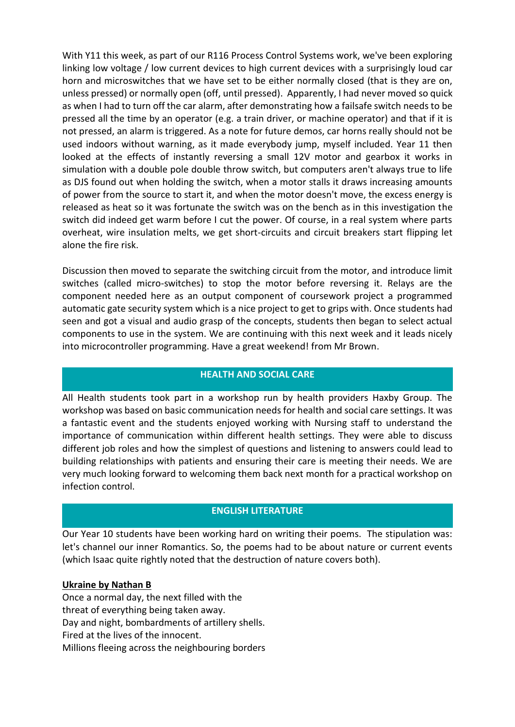With Y11 this week, as part of our R116 Process Control Systems work, we've been exploring linking low voltage / low current devices to high current devices with a surprisingly loud car horn and microswitches that we have set to be either normally closed (that is they are on, unless pressed) or normally open (off, until pressed). Apparently, I had never moved so quick as when I had to turn off the car alarm, after demonstrating how a failsafe switch needs to be pressed all the time by an operator (e.g. a train driver, or machine operator) and that if it is not pressed, an alarm is triggered. As a note for future demos, car horns really should not be used indoors without warning, as it made everybody jump, myself included. Year 11 then looked at the effects of instantly reversing a small 12V motor and gearbox it works in simulation with a double pole double throw switch, but computers aren't always true to life as DJS found out when holding the switch, when a motor stalls it draws increasing amounts of power from the source to start it, and when the motor doesn't move, the excess energy is released as heat so it was fortunate the switch was on the bench as in this investigation the switch did indeed get warm before I cut the power. Of course, in a real system where parts overheat, wire insulation melts, we get short-circuits and circuit breakers start flipping let alone the fire risk.

Discussion then moved to separate the switching circuit from the motor, and introduce limit switches (called micro-switches) to stop the motor before reversing it. Relays are the component needed here as an output component of coursework project a programmed automatic gate security system which is a nice project to get to grips with. Once students had seen and got a visual and audio grasp of the concepts, students then began to select actual components to use in the system. We are continuing with this next week and it leads nicely into microcontroller programming. Have a great weekend! from Mr Brown.

# **HEALTH AND SOCIAL CARE**

All Health students took part in a workshop run by health providers Haxby Group. The workshop was based on basic communication needs for health and social care settings. It was a fantastic event and the students enjoyed working with Nursing staff to understand the importance of communication within different health settings. They were able to discuss different job roles and how the simplest of questions and listening to answers could lead to building relationships with patients and ensuring their care is meeting their needs. We are very much looking forward to welcoming them back next month for a practical workshop on infection control.

# **ENGLISH LITERATURE**

Our Year 10 students have been working hard on writing their poems. The stipulation was: let's channel our inner Romantics. So, the poems had to be about nature or current events (which Isaac quite rightly noted that the destruction of nature covers both).

### **Ukraine by Nathan B**

Once a normal day, the next filled with the threat of everything being taken away. Day and night, bombardments of artillery shells. Fired at the lives of the innocent. Millions fleeing across the neighbouring borders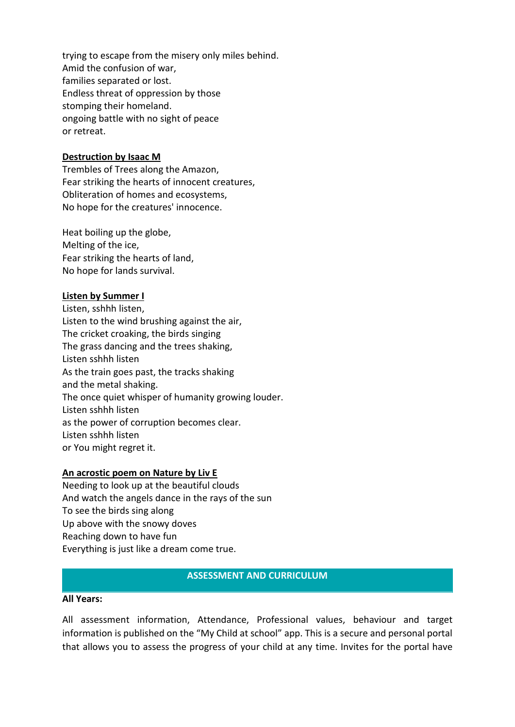trying to escape from the misery only miles behind. Amid the confusion of war, families separated or lost. Endless threat of oppression by those stomping their homeland. ongoing battle with no sight of peace or retreat.

## **Destruction by Isaac M**

Trembles of Trees along the Amazon, Fear striking the hearts of innocent creatures, Obliteration of homes and ecosystems, No hope for the creatures' innocence.

Heat boiling up the globe, Melting of the ice, Fear striking the hearts of land, No hope for lands survival.

#### **Listen by Summer I**

Listen, sshhh listen, Listen to the wind brushing against the air, The cricket croaking, the birds singing The grass dancing and the trees shaking, Listen sshhh listen As the train goes past, the tracks shaking and the metal shaking. The once quiet whisper of humanity growing louder. Listen sshhh listen as the power of corruption becomes clear. Listen sshhh listen or You might regret it.

#### **An acrostic poem on Nature by Liv E**

Needing to look up at the beautiful clouds And watch the angels dance in the rays of the sun To see the birds sing along Up above with the snowy doves Reaching down to have fun Everything is just like a dream come true.

## **ASSESSMENT AND CURRICULUM**

#### **All Years:**

All assessment information, Attendance, Professional values, behaviour and target information is published on the "My Child at school" app. This is a secure and personal portal that allows you to assess the progress of your child at any time. Invites for the portal have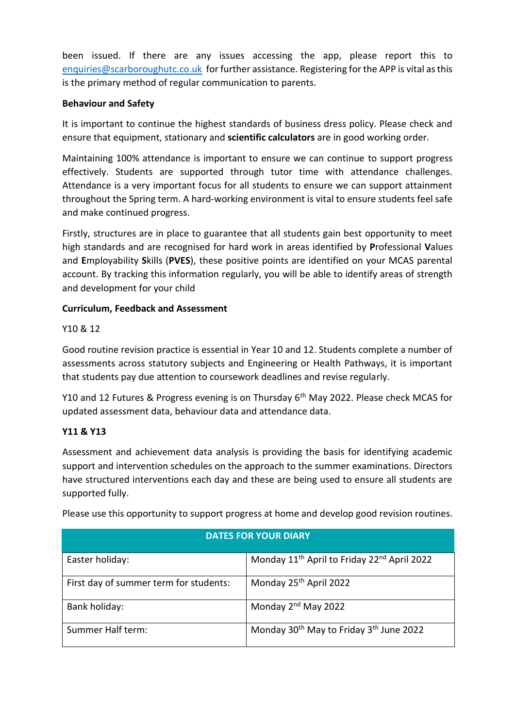been issued. If there are any issues accessing the app, please report this to [enquiries@scarboroughutc.co.uk](mailto:enquiries@scarboroughutc.co.uk) for further assistance. Registering for the APP is vital as this is the primary method of regular communication to parents.

# **Behaviour and Safety**

It is important to continue the highest standards of business dress policy. Please check and ensure that equipment, stationary and **scientific calculators** are in good working order.

Maintaining 100% attendance is important to ensure we can continue to support progress effectively. Students are supported through tutor time with attendance challenges. Attendance is a very important focus for all students to ensure we can support attainment throughout the Spring term. A hard-working environment is vital to ensure students feel safe and make continued progress.

Firstly, structures are in place to guarantee that all students gain best opportunity to meet high standards and are recognised for hard work in areas identified by **P**rofessional **V**alues and **E**mployability **S**kills (**PVES**), these positive points are identified on your MCAS parental account. By tracking this information regularly, you will be able to identify areas of strength and development for your child

# **Curriculum, Feedback and Assessment**

# Y10 & 12

Good routine revision practice is essential in Year 10 and 12. Students complete a number of assessments across statutory subjects and Engineering or Health Pathways, it is important that students pay due attention to coursework deadlines and revise regularly.

Y10 and 12 Futures & Progress evening is on Thursday 6<sup>th</sup> May 2022. Please check MCAS for updated assessment data, behaviour data and attendance data.

# **Y11 & Y13**

Assessment and achievement data analysis is providing the basis for identifying academic support and intervention schedules on the approach to the summer examinations. Directors have structured interventions each day and these are being used to ensure all students are supported fully.

| <b>DATES FOR YOUR DIARY</b>            |                                                                     |
|----------------------------------------|---------------------------------------------------------------------|
| Easter holiday:                        | Monday 11 <sup>th</sup> April to Friday 22 <sup>nd</sup> April 2022 |
| First day of summer term for students: | Monday 25 <sup>th</sup> April 2022                                  |
| Bank holiday:                          | Monday 2 <sup>nd</sup> May 2022                                     |
| Summer Half term:                      | Monday 30 <sup>th</sup> May to Friday 3 <sup>th</sup> June 2022     |

Please use this opportunity to support progress at home and develop good revision routines.